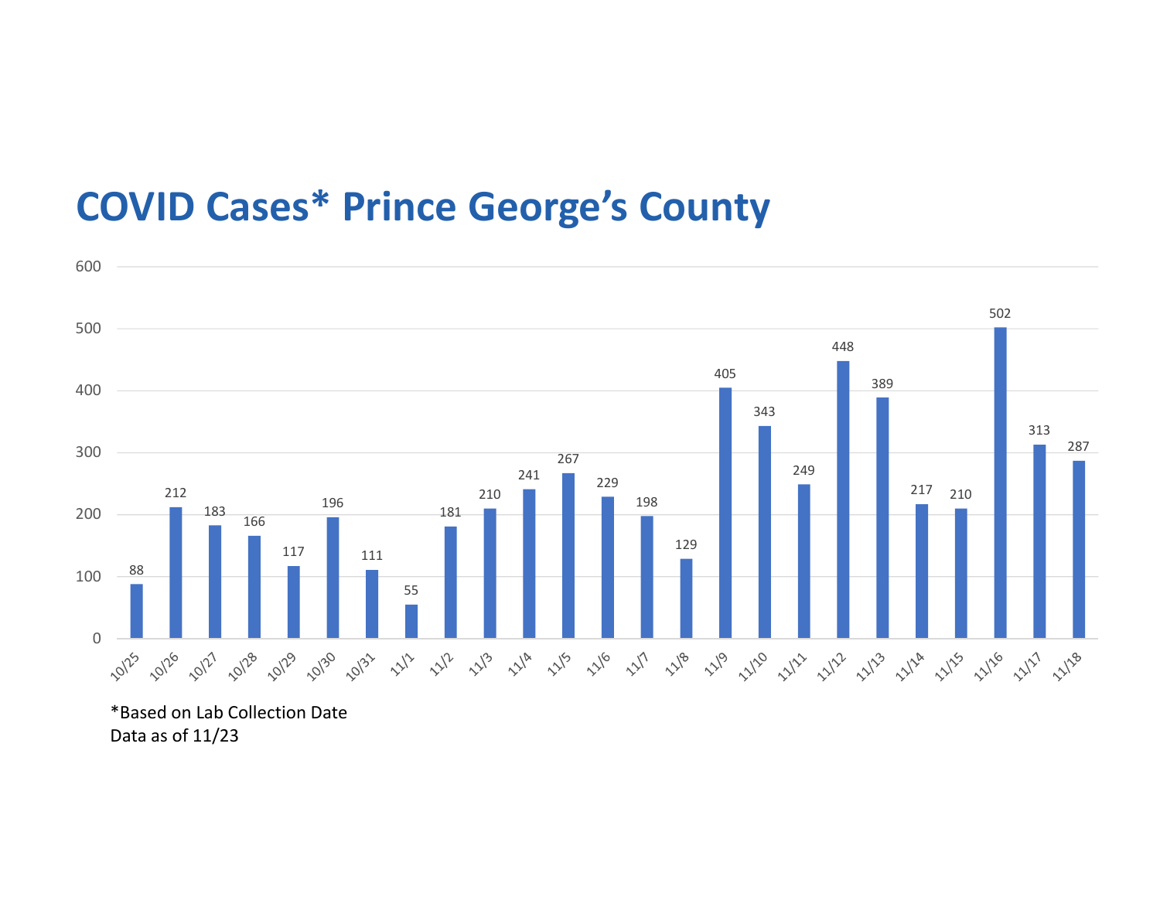## COVID Cases\* Prince George's County



\*Based on Lab Collection Date Data as of 11/23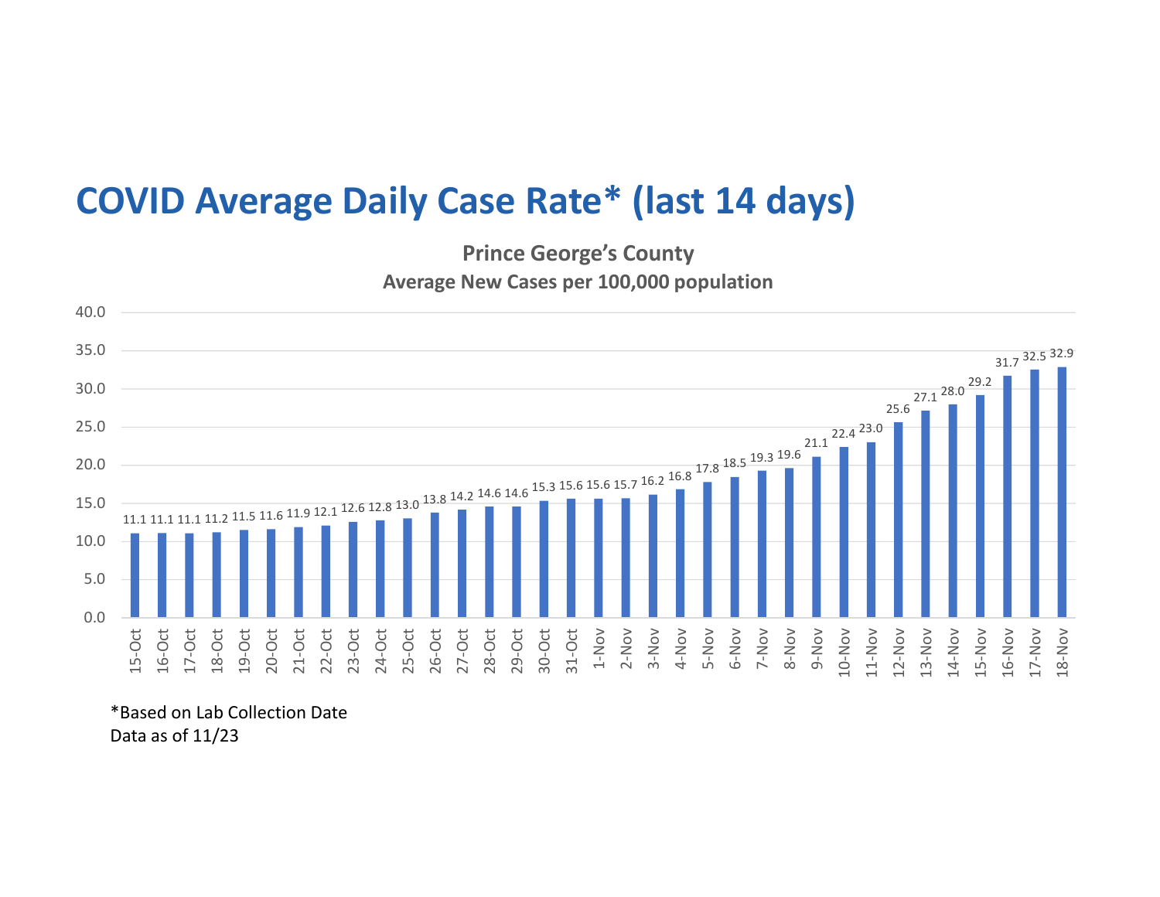## COVID Average Daily Case Rate\* (last 14 days)

Prince George's County Average New Cases per 100,000 population



\*Based on Lab Collection Date Data as of 11/23